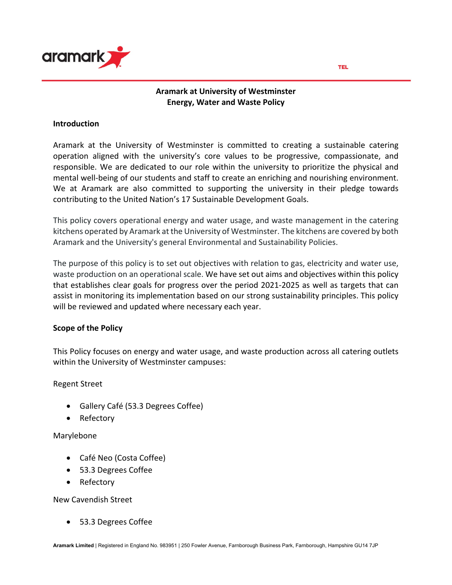

## **Aramark at University of Westminster Energy, Water and Waste Policy**

#### **Introduction**

Aramark at the University of Westminster is committed to creating a sustainable catering operation aligned with the university's core values to be progressive, compassionate, and responsible. We are dedicated to our role within the university to prioritize the physical and mental well-being of our students and staff to create an enriching and nourishing environment. We at Aramark are also committed to supporting the university in their pledge towards contributing to the United Nation's 17 Sustainable Development Goals.

This policy covers operational energy and water usage, and waste management in the catering kitchens operated by Aramark at the University of Westminster. The kitchens are covered by both Aramark and the University's general Environmental and Sustainability Policies.

The purpose of this policy is to set out objectives with relation to gas, electricity and water use, waste production on an operational scale. We have set out aims and objectives within this policy that establishes clear goals for progress over the period 2021-2025 as well as targets that can assist in monitoring its implementation based on our strong sustainability principles. This policy will be reviewed and updated where necessary each year.

## **Scope of the Policy**

This Policy focuses on energy and water usage, and waste production across all catering outlets within the University of Westminster campuses:

Regent Street

- Gallery Café (53.3 Degrees Coffee)
- Refectory

#### Marylebone

- Café Neo (Costa Coffee)
- 53.3 Degrees Coffee
- Refectory

New Cavendish Street

• 53.3 Degrees Coffee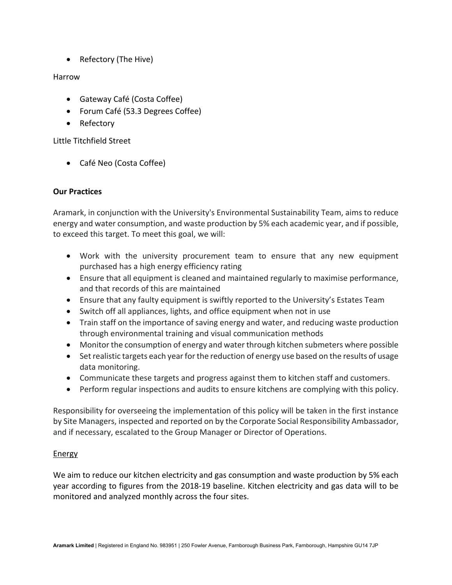• Refectory (The Hive)

# Harrow

- Gateway Café (Costa Coffee)
- Forum Café (53.3 Degrees Coffee)
- Refectory

Little Titchfield Street

• Café Neo (Costa Coffee)

## **Our Practices**

Aramark, in conjunction with the University's Environmental Sustainability Team, aims to reduce energy and water consumption, and waste production by 5% each academic year, and if possible, to exceed this target. To meet this goal, we will:

- Work with the university procurement team to ensure that any new equipment purchased has a high energy efficiency rating
- Ensure that all equipment is cleaned and maintained regularly to maximise performance, and that records of this are maintained
- Ensure that any faulty equipment is swiftly reported to the University's Estates Team
- Switch off all appliances, lights, and office equipment when not in use
- Train staff on the importance of saving energy and water, and reducing waste production through environmental training and visual communication methods
- Monitor the consumption of energy and water through kitchen submeters where possible
- Set realistic targets each year for the reduction of energy use based on the results of usage data monitoring.
- Communicate these targets and progress against them to kitchen staff and customers.
- Perform regular inspections and audits to ensure kitchens are complying with this policy.

Responsibility for overseeing the implementation of this policy will be taken in the first instance by Site Managers, inspected and reported on by the Corporate Social Responsibility Ambassador, and if necessary, escalated to the Group Manager or Director of Operations.

# Energy

We aim to reduce our kitchen electricity and gas consumption and waste production by 5% each year according to figures from the 2018-19 baseline. Kitchen electricity and gas data will to be monitored and analyzed monthly across the four sites.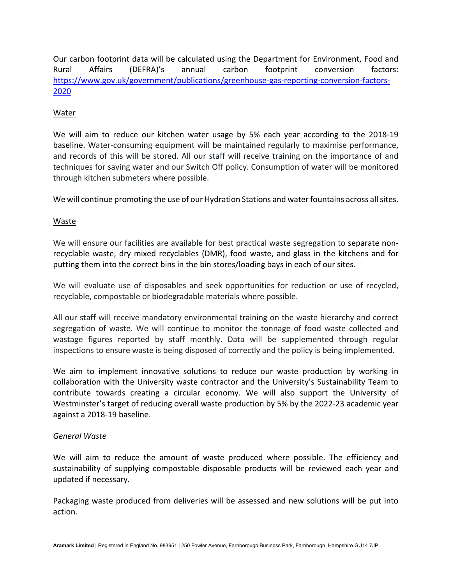Our carbon footprint data will be calculated using the Department for Environment, Food and Rural Affairs (DEFRA)'s annual carbon footprint conversion factors: https://www.gov.uk/government/publications/greenhouse-gas-reporting-conversion-factors-2020

## Water

We will aim to reduce our kitchen water usage by 5% each year according to the 2018-19 baseline. Water-consuming equipment will be maintained regularly to maximise performance, and records of this will be stored. All our staff will receive training on the importance of and techniques for saving water and our Switch Off policy. Consumption of water will be monitored through kitchen submeters where possible.

We will continue promoting the use of our Hydration Stations and water fountains across all sites.

## Waste

We will ensure our facilities are available for best practical waste segregation to separate nonrecyclable waste, dry mixed recyclables (DMR), food waste, and glass in the kitchens and for putting them into the correct bins in the bin stores/loading bays in each of our sites.

We will evaluate use of disposables and seek opportunities for reduction or use of recycled, recyclable, compostable or biodegradable materials where possible.

All our staff will receive mandatory environmental training on the waste hierarchy and correct segregation of waste. We will continue to monitor the tonnage of food waste collected and wastage figures reported by staff monthly. Data will be supplemented through regular inspections to ensure waste is being disposed of correctly and the policy is being implemented.

We aim to implement innovative solutions to reduce our waste production by working in collaboration with the University waste contractor and the University's Sustainability Team to contribute towards creating a circular economy. We will also support the University of Westminster's target of reducing overall waste production by 5% by the 2022-23 academic year against a 2018-19 baseline.

## *General Waste*

We will aim to reduce the amount of waste produced where possible. The efficiency and sustainability of supplying compostable disposable products will be reviewed each year and updated if necessary.

Packaging waste produced from deliveries will be assessed and new solutions will be put into action.